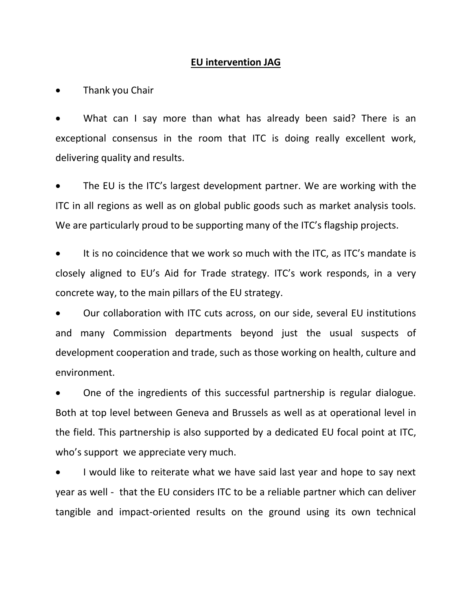## **EU intervention JAG**

Thank you Chair

What can I say more than what has already been said? There is an exceptional consensus in the room that ITC is doing really excellent work, delivering quality and results.

 The EU is the ITC's largest development partner. We are working with the ITC in all regions as well as on global public goods such as market analysis tools. We are particularly proud to be supporting many of the ITC's flagship projects.

 It is no coincidence that we work so much with the ITC, as ITC's mandate is closely aligned to EU's Aid for Trade strategy. ITC's work responds, in a very concrete way, to the main pillars of the EU strategy.

 Our collaboration with ITC cuts across, on our side, several EU institutions and many Commission departments beyond just the usual suspects of development cooperation and trade, such as those working on health, culture and environment.

 One of the ingredients of this successful partnership is regular dialogue. Both at top level between Geneva and Brussels as well as at operational level in the field. This partnership is also supported by a dedicated EU focal point at ITC, who's support we appreciate very much.

 I would like to reiterate what we have said last year and hope to say next year as well - that the EU considers ITC to be a reliable partner which can deliver tangible and impact-oriented results on the ground using its own technical